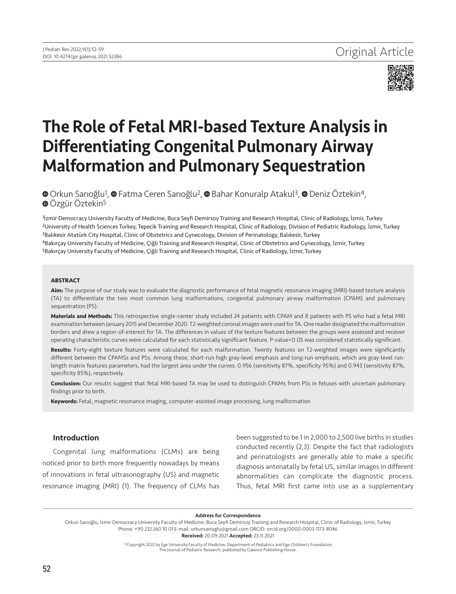

# The Role of Fetal MRI-based Texture Analysis in Differentiating Congenital Pulmonary Airway Malformation and Pulmonary Sequestration

**©**Orkun Sarioğlu<sup>1</sup>, **©** Fatma Ceren Sarioğlu<sup>2</sup>, © Bahar Konuralp Atakul<sup>3</sup>, © Deniz Öztekin<sup>4</sup>, **⊕**Özgür Öztekin<sup>5</sup>

<sup>1</sup> Izmir Democracy University Faculty of Medicine, Buca Seyfi Demirsoy Training and Research Hospital, Clinic of Radiology, İzmir, Turkey 2University of Health Sciences Turkey, Tepecik Training and Research Hospital, Clinic of Radiology, Division of Pediatric Radiology, İzmir, Turkey 3Balıkesir Atatürk City Hospital, Clinic of Obstetrics and Gynecology, Division of Perinatology, Balıkesir, Turkey 4Bakırçay University Faculty of Medicine, Çiğli Training and Research Hospital, Clinic of Obstetrics and Gynecology, İzmir, Turkey 5Bakırçay University Faculty of Medicine, Çiğli Training and Research Hospital, Clinic of Radiology, İzmir, Turkey

#### **ABSTRACT**

Aim: The purpose of our study was to evaluate the diagnostic performance of fetal magnetic resonance imaging (MRI)-based texture analysis (TA) to differentiate the two most common lung malformations, congenital pulmonary airway malformation (CPAM) and pulmonary sequestration (PS).

**Materials and Methods:** This retrospective single-center study included 24 patients with CPAM and 8 patients with PS who had a fetal MRI examination between January 2015 and December 2020. T2-weighted coronal images were used for TA. One reader designated the malformation borders and drew a region-of-interest for TA. The differences in values of the texture features between the groups were assessed and receiver operating characteristic curves were calculated for each statistically significant feature. P-value<0.05 was considered statistically significant.

**Results:** Forty-eight texture features were calculated for each malformation. Twenty features on T2-weighted images were significantly different between the CPAMSs and PSs. Among these, short-run high gray-level emphasis and long-run emphasis, which are gray-level runlength matrix features parameters, had the largest area under the curves: 0.956 (sensitivity 87%, specificity 95%) and 0.943 (sensitivity 87%, specificity 85%), respectively.

**Conclusion:** Our results suggest that fetal MRI-based TA may be used to distinguish CPAMs from PSs in fetuses with uncertain pulmonary findings prior to birth.

**Keywords:** Fetal, magnetic resonance imaging, computer-assisted image processing, lung malformation

## Introduction

Congenital lung malformations (CLMs) are being noticed prior to birth more frequently nowadays by means of innovations in fetal ultrasonography (US) and magnetic resonance imaging (MRI) (1). The frequency of CLMs has been suggested to be 1 in 2,000 to 2,500 live births in studies conducted recently (2,3). Despite the fact that radiologists and perinatologists are generally able to make a specific diagnosis antenatally by fetal US, similar images in different abnormalities can complicate the diagnostic process. Thus, fetal MRI first came into use as a supplementary

Address for Correspondence

Orkun Sarıoğlu, İzmir Democracy University Faculty of Medicine, Buca Seyfi Demirsoy Training and Research Hospital, Clinic of Radiology, İzmir, Turkey Phone: +90 232 260 10 01 E-mail: orkunsarioglu@gmail.com ORCID: orcid.org/0000-0003-1173-8046

Received: 20.09.2021 Accepted: 23.11.2021

©Copyright 2022 by Ege University Faculty of Medicine, Department of Pediatrics and Ege Children's Foundation The Journal of Pediatric Research, published by Galenos Publishing House.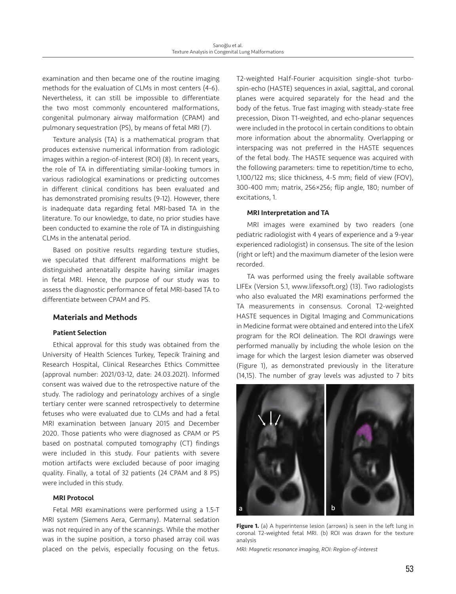examination and then became one of the routine imaging methods for the evaluation of CLMs in most centers (4-6). Nevertheless, it can still be impossible to differentiate the two most commonly encountered malformations, congenital pulmonary airway malformation (CPAM) and pulmonary sequestration (PS), by means of fetal MRI (7).

Texture analysis (TA) is a mathematical program that produces extensive numerical information from radiologic images within a region-of-interest (ROI) (8). In recent years, the role of TA in differentiating similar-looking tumors in various radiological examinations or predicting outcomes in different clinical conditions has been evaluated and has demonstrated promising results (9-12). However, there is inadequate data regarding fetal MRI-based TA in the literature. To our knowledge, to date, no prior studies have been conducted to examine the role of TA in distinguishing CLMs in the antenatal period.

Based on positive results regarding texture studies, we speculated that different malformations might be distinguished antenatally despite having similar images in fetal MRI. Hence, the purpose of our study was to assess the diagnostic performance of fetal MRI-based TA to differentiate between CPAM and PS.

# Materials and Methods

### Patient Selection

Ethical approval for this study was obtained from the University of Health Sciences Turkey, Tepecik Training and Research Hospital, Clinical Researches Ethics Committee (approval number: 2021/03-12, date: 24.03.2021). Informed consent was waived due to the retrospective nature of the study. The radiology and perinatology archives of a single tertiary center were scanned retrospectively to determine fetuses who were evaluated due to CLMs and had a fetal MRI examination between January 2015 and December 2020. Those patients who were diagnosed as CPAM or PS based on postnatal computed tomography (CT) findings were included in this study. Four patients with severe motion artifacts were excluded because of poor imaging quality. Finally, a total of 32 patients (24 CPAM and 8 PS) were included in this study.

#### MRI Protocol

Fetal MRI examinations were performed using a 1.5-T MRI system (Siemens Aera, Germany). Maternal sedation was not required in any of the scannings. While the mother was in the supine position, a torso phased array coil was placed on the pelvis, especially focusing on the fetus.

T2-weighted Half-Fourier acquisition single-shot turbospin-echo (HASTE) sequences in axial, sagittal, and coronal planes were acquired separately for the head and the body of the fetus. True fast imaging with steady-state free precession, Dixon T1-weighted, and echo-planar sequences were included in the protocol in certain conditions to obtain more information about the abnormality. Overlapping or interspacing was not preferred in the HASTE sequences of the fetal body. The HASTE sequence was acquired with the following parameters: time to repetition/time to echo, 1,100/122 ms; slice thickness, 4-5 mm; field of view (FOV), 300-400 mm; matrix, 256×256; flip angle, 180; number of excitations, 1.

#### MRI Interpretation and TA

MRI images were examined by two readers (one pediatric radiologist with 4 years of experience and a 9-year experienced radiologist) in consensus. The site of the lesion (right or left) and the maximum diameter of the lesion were recorded.

TA was performed using the freely available software LIFEx (Version 5.1, www.lifexsoft.org) (13). Two radiologists who also evaluated the MRI examinations performed the TA measurements in consensus. Coronal T2-weighted HASTE sequences in Digital Imaging and Communications in Medicine format were obtained and entered into the LifeX program for the ROI delineation. The ROI drawings were performed manually by including the whole lesion on the image for which the largest lesion diameter was observed (Figure 1), as demonstrated previously in the literature (14,15). The number of gray levels was adjusted to 7 bits



Figure 1. (a) A hyperintense lesion (arrows) is seen in the left lung in coronal T2-weighted fetal MRI. (b) ROI was drawn for the texture analysis

*MRI: Magnetic resonance imaging, ROI: Region-of-interest*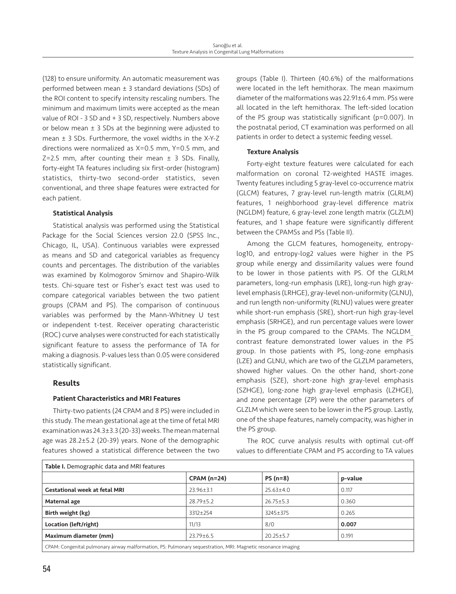(128) to ensure uniformity. An automatic measurement was performed between mean  $\pm$  3 standard deviations (SDs) of the ROI content to specify intensity rescaling numbers. The minimum and maximum limits were accepted as the mean value of ROI - 3 SD and + 3 SD, respectively. Numbers above or below mean  $\pm$  3 SDs at the beginning were adjusted to mean ± 3 SDs. Furthermore, the voxel widths in the X-Y-Z directions were normalized as X=0.5 mm, Y=0.5 mm, and  $Z=2.5$  mm, after counting their mean  $\pm$  3 SDs. Finally, forty-eight TA features including six first-order (histogram) statistics, thirty-two second-order statistics, seven conventional, and three shape features were extracted for each patient.

## Statistical Analysis

Statistical analysis was performed using the Statistical Package for the Social Sciences version 22.0 (SPSS Inc., Chicago, IL, USA). Continuous variables were expressed as means and SD and categorical variables as frequency counts and percentages. The distribution of the variables was examined by Kolmogorov Smirnov and Shapiro-Wilk tests. Chi-square test or Fisher's exact test was used to compare categorical variables between the two patient groups (CPAM and PS). The comparison of continuous variables was performed by the Mann-Whitney U test or independent t-test. Receiver operating characteristic (ROC) curve analyses were constructed for each statistically significant feature to assess the performance of TA for making a diagnosis. P-values less than 0.05 were considered statistically significant.

# Results

## Patient Characteristics and MRI Features

Thirty-two patients (24 CPAM and 8 PS) were included in this study. The mean gestational age at the time of fetal MRI examination was 24.3±3.3 (20-33) weeks. The mean maternal age was 28.2±5.2 (20-39) years. None of the demographic features showed a statistical difference between the two

groups (Table I). Thirteen (40.6%) of the malformations were located in the left hemithorax. The mean maximum diameter of the malformations was 22.91±6.4 mm. PSs were all located in the left hemithorax. The left-sided location of the PS group was statistically significant (p=0.007). In the postnatal period, CT examination was performed on all patients in order to detect a systemic feeding vessel.

# Texture Analysis

Forty-eight texture features were calculated for each malformation on coronal T2-weighted HASTE images. Twenty features including 5 gray-level co-occurrence matrix (GLCM) features, 7 gray-level run-length matrix (GLRLM) features, 1 neighborhood gray-level difference matrix (NGLDM) feature, 6 gray-level zone length matrix (GLZLM) features, and 1 shape feature were significantly different between the CPAMSs and PSs (Table II).

Among the GLCM features, homogeneity, entropylog10, and entropy-log2 values were higher in the PS group while energy and dissimilarity values were found to be lower in those patients with PS. Of the GLRLM parameters, long-run emphasis (LRE), long-run high graylevel emphasis (LRHGE), gray-level non-uniformity (GLNU), and run length non-uniformity (RLNU) values were greater while short-run emphasis (SRE), short-run high gray-level emphasis (SRHGE), and run percentage values were lower in the PS group compared to the CPAMs. The NGLDM\_ contrast feature demonstrated lower values in the PS group. In those patients with PS, long-zone emphasis (LZE) and GLNU, which are two of the GLZLM parameters, showed higher values. On the other hand, short-zone emphasis (SZE), short-zone high gray-level emphasis (SZHGE), long-zone high gray-level emphasis (LZHGE), and zone percentage (ZP) were the other parameters of GLZLM which were seen to be lower in the PS group. Lastly, one of the shape features, namely compacity, was higher in the PS group.

The ROC curve analysis results with optimal cut-off values to differentiate CPAM and PS according to TA values

| Table I. Demographic data and MRI features                                                                    |                 |                 |         |  |
|---------------------------------------------------------------------------------------------------------------|-----------------|-----------------|---------|--|
|                                                                                                               | $CPAM(n=24)$    | $PS(n=8)$       | p-value |  |
| <b>Gestational week at fetal MRI</b>                                                                          | $23.96 \pm 3.1$ | $25.63 \pm 4.0$ | 0.117   |  |
| Maternal age                                                                                                  | $28.79 \pm 5.2$ | $26.75 \pm 5.3$ | 0.360   |  |
| Birth weight (kg)                                                                                             | $3312 \pm 254$  | 3245±375        | 0.265   |  |
| Location (left/right)                                                                                         | 11/13           | 8/0             | 0.007   |  |
| Maximum diameter (mm)                                                                                         | $23.79 \pm 6.5$ | $20.25 \pm 5.7$ | 0.191   |  |
| CDAM, Congenital pulmenary airway malformation, DC, Pulmenary sequestration, MDL, Magnetic researance imaging |                 |                 |         |  |

CPAM: Congenital pulmonary airway malformation, PS: Pulmonary sequestration, MRI: Magnetic resonance imaging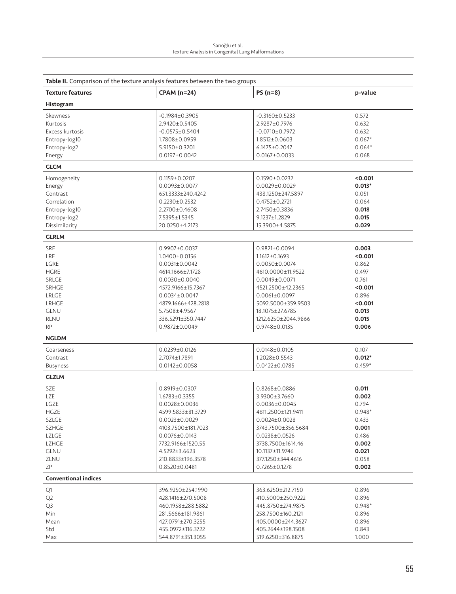| Table II. Comparison of the texture analysis features between the two groups                                                                        |                                                                                                                                                                                                                                        |                                                                                                                                                                                                                                           |                                                                                                       |  |
|-----------------------------------------------------------------------------------------------------------------------------------------------------|----------------------------------------------------------------------------------------------------------------------------------------------------------------------------------------------------------------------------------------|-------------------------------------------------------------------------------------------------------------------------------------------------------------------------------------------------------------------------------------------|-------------------------------------------------------------------------------------------------------|--|
| <b>Texture features</b>                                                                                                                             | <b>CPAM (n=24)</b>                                                                                                                                                                                                                     | $PS(n=8)$                                                                                                                                                                                                                                 | p-value                                                                                               |  |
| Histogram                                                                                                                                           |                                                                                                                                                                                                                                        |                                                                                                                                                                                                                                           |                                                                                                       |  |
| Skewness<br>Kurtosis<br>Excess kurtosis<br>Entropy-log10<br>Entropy-log2                                                                            | $-0.1984 \pm 0.3905$<br>2.9420±0.5405<br>$-0.0575 \pm 0.5404$<br>1.7808±0.0959<br>$5.9150 \pm 0.3201$<br>$0.0197 \pm 0.0042$                                                                                                           | $-0.3160 \pm 0.5233$<br>2.9287±0.7976<br>$-0.0710 \pm 0.7972$<br>1.8512±0.0603<br>6.1475±0.2047<br>$0.0167 \pm 0.0033$                                                                                                                    | 0.572<br>0.632<br>0.632<br>$0.067*$<br>$0.064*$<br>0.068                                              |  |
| Energy<br><b>GLCM</b>                                                                                                                               |                                                                                                                                                                                                                                        |                                                                                                                                                                                                                                           |                                                                                                       |  |
| Homogeneity<br>Energy<br>Contrast<br>Correlation<br>Entropy-log10<br>Entropy-log2<br>Dissimilarity                                                  | $0.1159 \pm 0.0207$<br>$0.0093 \pm 0.0077$<br>651.3333±240.4242<br>$0.2230 \pm 0.2532$<br>2.2700±0.4608<br>7.5395±1.5345<br>20.0250±4.2173                                                                                             | $0.1590 \pm 0.0232$<br>$0.0029 \pm 0.0029$<br>438.1250±247.5897<br>$0.4752 \pm 0.2721$<br>2.7450±0.3836<br>9.1237±1.2829<br>15.3900±4.5875                                                                                                | < 0.001<br>$0.013*$<br>0.051<br>0.064<br>0.018<br>0.015<br>0.029                                      |  |
| <b>GLRLM</b>                                                                                                                                        |                                                                                                                                                                                                                                        |                                                                                                                                                                                                                                           |                                                                                                       |  |
| <b>SRE</b><br><b>LRE</b><br>LGRE<br><b>HGRE</b><br>SRLGE<br><b>SRHGE</b><br><b>LRLGE</b><br><b>LRHGE</b><br><b>GLNU</b><br><b>RLNU</b><br><b>RP</b> | 0.9907±0.0037<br>1.0400±0.0156<br>$0.0031 \pm 0.0042$<br>4614.1666±7.1728<br>$0.0030\pm0.0040$<br>4572.9166±15.7367<br>$0.0034 \pm 0.0047$<br>4879.1666±428.2818<br>5.7508±4.9567<br>336.5291±350.7447<br>0.9872±0.0049                | 0.9821±0.0094<br>$1.1612 \pm 0.1693$<br>$0.0050 \pm 0.0074$<br>4610.0000±11.9522<br>$0.0049 \pm 0.0071$<br>4521.2500±42.2365<br>$0.0061 \pm 0.0097$<br>5092.5000±359.9503<br>18.1075±27.6785<br>1212.6250±2044.9866<br>0.9748±0.0135      | 0.003<br>< 0.001<br>0.862<br>0.497<br>0.761<br>< 0.001<br>0.896<br>< 0.001<br>0.013<br>0.015<br>0.006 |  |
| <b>NGLDM</b>                                                                                                                                        |                                                                                                                                                                                                                                        |                                                                                                                                                                                                                                           |                                                                                                       |  |
| Coarseness<br>Contrast<br><b>Busyness</b>                                                                                                           | $0.0239 \pm 0.0126$<br>2.7074±1.7891<br>$0.0142 \pm 0.0058$                                                                                                                                                                            | $0.0148 \pm 0.0105$<br>1.2028±0.5543<br>$0.0422 \pm 0.0785$                                                                                                                                                                               | 0.107<br>$0.012*$<br>$0.459*$                                                                         |  |
| <b>GLZLM</b>                                                                                                                                        |                                                                                                                                                                                                                                        |                                                                                                                                                                                                                                           |                                                                                                       |  |
| <b>SZE</b><br><b>LZE</b><br>LGZE<br>HGZE<br>SZLGE<br><b>SZHGE</b><br><b>LZLGE</b><br>LZHGE<br><b>GLNU</b><br>ZLNU<br>ΖP                             | $0.8919 \pm 0.0307$<br>1.6783±0.3355<br>$0.0028 \pm 0.0036$<br>4599.5833±81.3729<br>$0.0023 \pm 0.0029$<br>4103.7500±181.7023<br>$0.0076 \pm 0.0143$<br>7732.9166±1520.55<br>4.5292±3.6623<br>210.8833±196.3578<br>$0.8520 \pm 0.0481$ | $0.8268 \pm 0.0886$<br>3.9300±3.7660<br>$0.0036 \pm 0.0045$<br>4611.2500±121.9411<br>$0.0024 \pm 0.0028$<br>3743.7500±356.5684<br>$0.0238 \pm 0.0526$<br>3738.7500±1614.46<br>10.1137±11.9746<br>377.1250±344.4616<br>$0.7265 \pm 0.1278$ | 0.011<br>0.002<br>0.794<br>$0.948*$<br>0.433<br>0.001<br>0.486<br>0.002<br>0.021<br>0.058<br>0.002    |  |
| <b>Conventional indices</b>                                                                                                                         |                                                                                                                                                                                                                                        |                                                                                                                                                                                                                                           |                                                                                                       |  |
| Q1<br>Q <sub>2</sub><br>Q3<br>Min.<br>Mean<br>Std<br>Max                                                                                            | 396.9250±254.1990<br>428.1416±270.5008<br>460.1958±288.5882<br>281.5666±181.9861<br>427.0791±270.3255<br>455.0972±116.3722<br>544.8791±351.3055                                                                                        | 363.6250±212.7150<br>410.5000±250.9222<br>445.8750±274.9875<br>258.7500±160.2121<br>405.0000±244.3627<br>405.2644±198.1508<br>519.6250±316.8875                                                                                           | 0.896<br>0.896<br>$0.948*$<br>0.896<br>0.896<br>0.843<br>1.000                                        |  |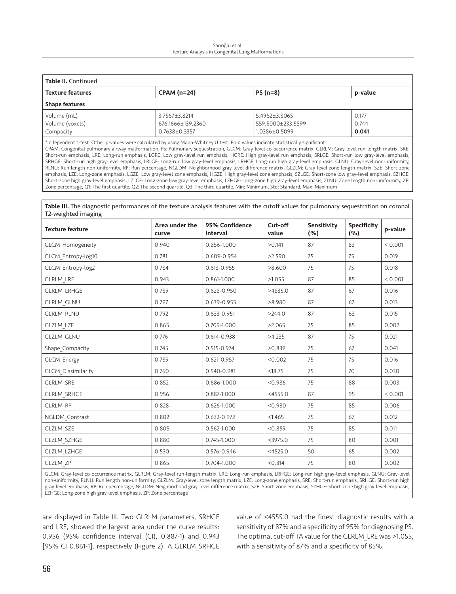#### Sarıoğlu et al. Texture Analysis in Congenital Lung Malformations

| <b>Table II.</b> Continued |                    |                   |         |  |
|----------------------------|--------------------|-------------------|---------|--|
| <b>Texture features</b>    | <b>CPAM (n=24)</b> | $PS(n=8)$         | p-value |  |
| <b>Shape features</b>      |                    |                   |         |  |
| Volume (mL)                | $3.7567 + 3.8214$  | 5.4962 + 3.8065   | 0.177   |  |
| Volume (voxels)            | 676.1666±139.2360  | 559.5000±233.5899 | 0.744   |  |
| Compacity                  | $0.7638 + 0.3357$  | 1.0386±0.5099     | 0.041   |  |

\*Independent t-test. Other p-values were calculated by using Mann-Whitney U test. Bold values indicate statistically significant. CPAM: Congenital pulmonary airway malformation, PS: Pulmonary sequestration, GLCM: Gray-level co-occurrence matrix, GLRLM: Gray-level run-length matrix, SRE: Short-run emphasis, LRE: Long-run emphasis, LGRE: Low gray-level run emphasis, HGRE: High gray-level run emphasis, SRLGE: Short-run low gray-level emphasis, SRHGE: Short-run high gray-level emphasis, LRLGE: Long-run low gray-level emphasis, LRHGE: Long-run high gray-level emphasis, GLNU: Gray-level non-uniformity, RLNU: Run length non-uniformity, RP: Run percentage, NGLDM: Neighborhood gray-level difference matrix, GLZLM: Gray-level zone length matrix, SZE: Short-zone emphasis, LZE: Long-zone emphasis, LGZE: Low gray-level zone emphasis, HGZE: High gray-level zone emphasis, SZLGE: Short-zone low gray-level emphasis, SZHGE: Short-zone high gray-level emphasis, LZLGE: Long-zone low gray-level emphasis, LZHGE: Long-zone high gray-level emphasis, ZLNU: Zone length non-uniformity, ZP: Zone percentage, Q1: The first quartile, Q2: The second quartile, Q3: The third quartile, Min: Minimum, Std: Standard, Max: Maximum

Table III. The diagnostic performances of the texture analysis features with the cutoff values for pulmonary sequestration on coronal T2-weighted imaging

| <b>Texture feature</b>    | Area under the<br>curve | 95% Confidence<br>interval | Cut-off<br>value | Sensitivity<br>(%) | Specificity<br>(%) | p-value |
|---------------------------|-------------------------|----------------------------|------------------|--------------------|--------------------|---------|
| <b>GLCM Homogeneity</b>   | 0.940                   | 0.856-1.000                | >0.141           | 87                 | 83                 | < 0.001 |
| GLCM Entropy-log10        | 0.781                   | 0.609-0.954                | >2.590           | 75                 | 75                 | 0.019   |
| GLCM Entropy-log2         | 0.784                   | 0.613-0.955                | >8.600           | 75                 | 75                 | 0.018   |
| <b>GLRLM LRE</b>          | 0.943                   | 0.861-1.000                | >1.055           | 87                 | 85                 | < 0.001 |
| <b>GLRLM LRHGE</b>        | 0.789                   | 0.628-0.950                | >4835.0          | 87                 | 67                 | 0.016   |
| <b>GLRLM GLNU</b>         | 0.797                   | 0.639-0.955                | >8.980           | 87                 | 67                 | 0.013   |
| <b>GLRLM RLNU</b>         | 0.792                   | 0.633-0.951                | >244.0           | 87                 | 63                 | 0.015   |
| <b>GLZLM LZE</b>          | 0.865                   | 0.709-1.000                | >2.065           | 75                 | 85                 | 0.002   |
| <b>GLZLM GLNU</b>         | 0.776                   | 0.614-0.938                | >4.235           | 87                 | 75                 | 0.021   |
| Shape Compacity           | 0.745                   | 0.515-0.974                | >0.839           | 75                 | 67                 | 0.041   |
| <b>GLCM Energy</b>        | 0.789                   | 0.621-0.957                | < 0.002          | 75                 | 75                 | 0.016   |
| <b>GLCM Dissimilarity</b> | 0.760                   | 0.540-0.981                | <18.75           | 75                 | 70                 | 0.030   |
| <b>GLRLM SRE</b>          | 0.852                   | 0.686-1.000                | < 0.986          | 75                 | 88                 | 0.003   |
| <b>GLRLM SRHGE</b>        | 0.956                   | 0.887-1.000                | $<$ 4555.0       | 87                 | 95                 | < 0.001 |
| <b>GLRLM RP</b>           | 0.828                   | 0.626-1.000                | < 0.980          | 75                 | 85                 | 0.006   |
| NGLDM Contrast            | 0.802                   | 0.632-0.972                | < 1.465          | 75                 | 67                 | 0.012   |
| <b>GLZLM SZE</b>          | 0.805                   | 0.562-1.000                | < 0.859          | 75                 | 85                 | 0.011   |
| <b>GLZLM SZHGE</b>        | 0.880                   | 0.745-1.000                | $<$ 3975.0       | 75                 | 80                 | 0.001   |
| <b>GLZLM LZHGE</b>        | 0.530                   | 0.576-0.946                | $<$ 4525.0       | 50                 | 65                 | 0.002   |
| <b>GLZLM ZP</b>           | 0.865                   | 0.704-1.000                | < 0.814          | 75                 | 80                 | 0.002   |

GLCM: Gray-level co-occurrence matrix, GLRLM: Gray-level run-length matrix, LRE: Long-run emphasis, LRHGE: Long-run high gray-level emphasis, GLNU: Gray-level non-uniformity, RLNU: Run length non-uniformity, GLZLM: Gray-level zone length matrix, LZE: Long-zone emphasis, SRE: Short-run emphasis, SRHGE: Short-run high gray-level emphasis, RP: Run percentage, NGLDM: Neighborhood gray-level difference matrix, SZE: Short-zone emphasis, SZHGE: Short-zone high gray-level emphasis, LZHGE: Long-zone high gray-level emphasis, ZP: Zone percentage

are displayed in Table III. Two GLRLM parameters, SRHGE and LRE, showed the largest area under the curve results: 0.956 (95% confidence interval (CI), 0.887-1) and 0.943 [95% CI 0.861-1], respectively (Figure 2). A GLRLM\_SRHGE value of <4555.0 had the finest diagnostic results with a sensitivity of 87% and a specificity of 95% for diagnosing PS. The optimal cut-off TA value for the GLRLM\_LRE was >1.055, with a sensitivity of 87% and a specificity of 85%.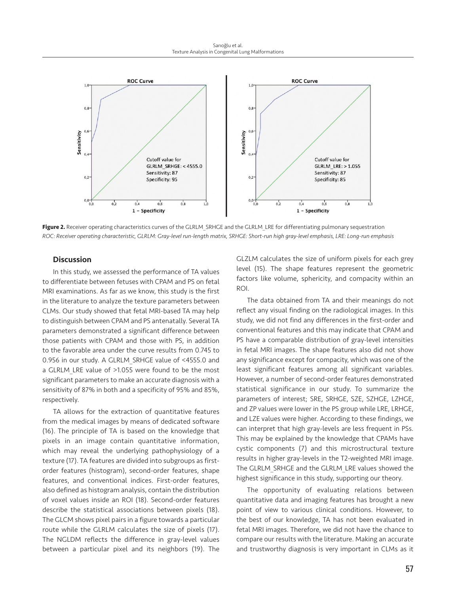

Figure 2. Receiver operating characteristics curves of the GLRLM SRHGE and the GLRLM LRE for differentiating pulmonary sequestration *ROC: Receiver operating characteristic, GLRLM: Gray-level run-length matrix, SRHGE: Short-run high gray-level emphasis, LRE: Long-run emphasis*

#### **Discussion**

In this study, we assessed the performance of TA values to differentiate between fetuses with CPAM and PS on fetal MRI examinations. As far as we know, this study is the first in the literature to analyze the texture parameters between CLMs. Our study showed that fetal MRI-based TA may help to distinguish between CPAM and PS antenatally. Several TA parameters demonstrated a significant difference between those patients with CPAM and those with PS, in addition to the favorable area under the curve results from 0.745 to 0.956 in our study. A GLRLM\_SRHGE value of <4555.0 and a GLRLM LRE value of >1.055 were found to be the most significant parameters to make an accurate diagnosis with a sensitivity of 87% in both and a specificity of 95% and 85%, respectively.

TA allows for the extraction of quantitative features from the medical images by means of dedicated software (16). The principle of TA is based on the knowledge that pixels in an image contain quantitative information, which may reveal the underlying pathophysiology of a texture (17). TA features are divided into subgroups as firstorder features (histogram), second-order features, shape features, and conventional indices. First-order features, also defined as histogram analysis, contain the distribution of voxel values inside an ROI (18). Second-order features describe the statistical associations between pixels (18). The GLCM shows pixel pairs in a figure towards a particular route while the GLRLM calculates the size of pixels (17). The NGLDM reflects the difference in gray-level values between a particular pixel and its neighbors (19). The

GLZLM calculates the size of uniform pixels for each grey level (15). The shape features represent the geometric factors like volume, sphericity, and compacity within an ROI.

The data obtained from TA and their meanings do not reflect any visual finding on the radiological images. In this study, we did not find any differences in the first-order and conventional features and this may indicate that CPAM and PS have a comparable distribution of gray-level intensities in fetal MRI images. The shape features also did not show any significance except for compacity, which was one of the least significant features among all significant variables. However, a number of second-order features demonstrated statistical significance in our study. To summarize the parameters of interest; SRE, SRHGE, SZE, SZHGE, LZHGE, and ZP values were lower in the PS group while LRE, LRHGE, and LZE values were higher. According to these findings, we can interpret that high gray-levels are less frequent in PSs. This may be explained by the knowledge that CPAMs have cystic components (7) and this microstructural texture results in higher gray-levels in the T2-weighted MRI image. The GLRLM\_SRHGE and the GLRLM\_LRE values showed the highest significance in this study, supporting our theory.

The opportunity of evaluating relations between quantitative data and imaging features has brought a new point of view to various clinical conditions. However, to the best of our knowledge, TA has not been evaluated in fetal MRI images. Therefore, we did not have the chance to compare our results with the literature. Making an accurate and trustworthy diagnosis is very important in CLMs as it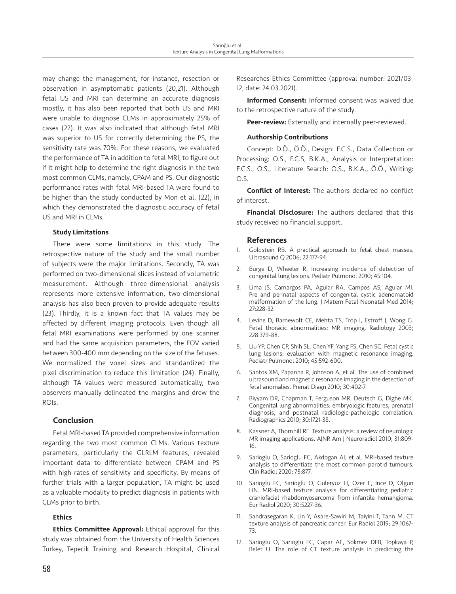may change the management, for instance, resection or observation in asymptomatic patients (20,21). Although fetal US and MRI can determine an accurate diagnosis mostly, it has also been reported that both US and MRI were unable to diagnose CLMs in approximately 25% of cases (22). It was also indicated that although fetal MRI was superior to US for correctly determining the PS, the sensitivity rate was 70%. For these reasons, we evaluated the performance of TA in addition to fetal MRI, to figure out if it might help to determine the right diagnosis in the two most common CLMs, namely, CPAM and PS. Our diagnostic performance rates with fetal MRI-based TA were found to be higher than the study conducted by Mon et al. (22), in which they demonstrated the diagnostic accuracy of fetal US and MRI in CLMs.

#### Study Limitations

There were some limitations in this study. The retrospective nature of the study and the small number of subjects were the major limitations. Secondly, TA was performed on two-dimensional slices instead of volumetric measurement. Although three-dimensional analysis represents more extensive information, two-dimensional analysis has also been proven to provide adequate results (23). Thirdly, it is a known fact that TA values may be affected by different imaging protocols. Even though all fetal MRI examinations were performed by one scanner and had the same acquisition parameters, the FOV varied between 300-400 mm depending on the size of the fetuses. We normalized the voxel sizes and standardized the pixel discrimination to reduce this limitation (24). Finally, although TA values were measured automatically, two observers manually delineated the margins and drew the ROIs.

## Conclusion

Fetal MRI-based TA provided comprehensive information regarding the two most common CLMs. Various texture parameters, particularly the GLRLM features, revealed important data to differentiate between CPAM and PS with high rates of sensitivity and specificity. By means of further trials with a larger population, TA might be used as a valuable modality to predict diagnosis in patients with CLMs prior to birth.

# Ethics

**Ethics Committee Approval:** Ethical approval for this study was obtained from the University of Health Sciences Turkey, Tepecik Training and Research Hospital, Clinical Researches Ethics Committee (approval number: 2021/03- 12, date: 24.03.2021).

Informed Consent: Informed consent was waived due to the retrospective nature of the study.

Peer-review: Externally and internally peer-reviewed.

#### Authorship Contributions

Concept: D.Ö., Ö.Ö., Design: F.C.S., Data Collection or Processing: O.S., F.C.S, B.K.A., Analysis or Interpretation: F.C.S., O.S., Literature Search: O.S., B.K.A., Ö.Ö., Writing: O.S.

Conflict of Interest: The authors declared no conflict of interest.

**Financial Disclosure:** The authors declared that this study received no financial support.

## References

- 1. Goldstein RB. A practical approach to fetal chest masses. Ultrasound Q 2006; 22:177-94.
- Burge D, Wheeler R. Increasing incidence of detection of congenital lung lesions. Pediatr Pulmonol 2010; 45:104.
- Lima JS, Camargos PA, Aguiar RA, Campos AS, Aguiar MJ. Pre and perinatal aspects of congenital cystic adenomatoid malformation of the lung. J Matern Fetal Neonatal Med 2014; 27:228-32.
- 4. Levine D, Barnewolt CE, Mehta TS, Trop I, Estroff J, Wong G. Fetal thoracic abnormalities: MR imaging. Radiology 2003; 228:379-88.
- 5. Liu YP, Chen CP, Shih SL, Chen YF, Yang FS, Chen SC. Fetal cystic lung lesions: evaluation with magnetic resonance imaging. Pediatr Pulmonol 2010; 45:592-600.
- 6. Santos XM, Papanna R, Johnson A, et al. The use of combined ultrasound and magnetic resonance imaging in the detection of fetal anomalies. Prenat Diagn 2010; 30:402-7.
- 7. Biyyam DR, Chapman T, Ferguson MR, Deutsch G, Dighe MK. Congenital lung abnormalities: embryologic features, prenatal diagnosis, and postnatal radiologic-pathologic correlation. Radiographics 2010; 30:1721-38.
- 8. Kassner A, Thornhill RE. Texture analysis: a review of neurologic MR imaging applications. AJNR Am J Neuroradiol 2010; 31:809- 16.
- Sarioglu O, Sarioglu FC, Akdogan AI, et al. MRI-based texture analysis to differentiate the most common parotid tumours. Clin Radiol 2020; 75:877.
- 10. Sarioglu FC, Sarioglu O, Guleryuz H, Ozer E, Ince D, Olgun HN. MRI-based texture analysis for differentiating pediatric craniofacial rhabdomyosarcoma from infantile hemangioma. Eur Radiol 2020; 30:5227-36.
- 11. Sandrasegaran K, Lin Y, Asare-Sawiri M, Taiyini T, Tann M. CT texture analysis of pancreatic cancer. Eur Radiol 2019; 29:1067- 73.
- 12. Sarioglu O, Sarioglu FC, Capar AE, Sokmez DFB, Topkaya P, Belet U. The role of CT texture analysis in predicting the